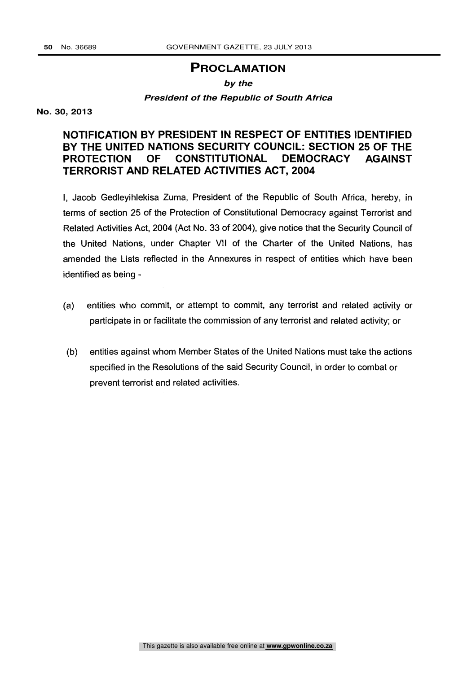## **PROCLAMATION**

## **by the**

#### **President of the Republic of South Africa**

#### **No. 30, 2013**

# NOTIFICATION BY PRESIDENT IN RESPECT OF ENTITIES IDENTIFIED BY THE UNITED NATIONS SECURITY COUNCIL: SECTION 25 OF THE PROTECTION OF CONSTITUTIONAL DEMOCRACY AGAINST TERRORIST AND RELATED ACTIVITIES ACT, 2004

I, Jacob Gedleyihlekisa Zuma, President of the Republic of South Africa, hereby, in terms of section 25 of the Protection of Constitutional Democracy against Terrorist and Related Activities Act, 2004 (Act No. 33 of 2004), give notice that the Security Council of the United Nations, under Chapter VII of the Charter of the United Nations, has amended the Lists reflected in the Annexures in respect of entities which have been identified as being -

- (a) entities who commit, or attempt to commit, any terrorist and related activity or participate in or facilitate the commission of any terrorist and related activity; or
- (b) entities against whom Member States of the United Nations must take the actions specified in the Resolutions of the said Security Council, in order to combat or prevent terrorist and related activities.